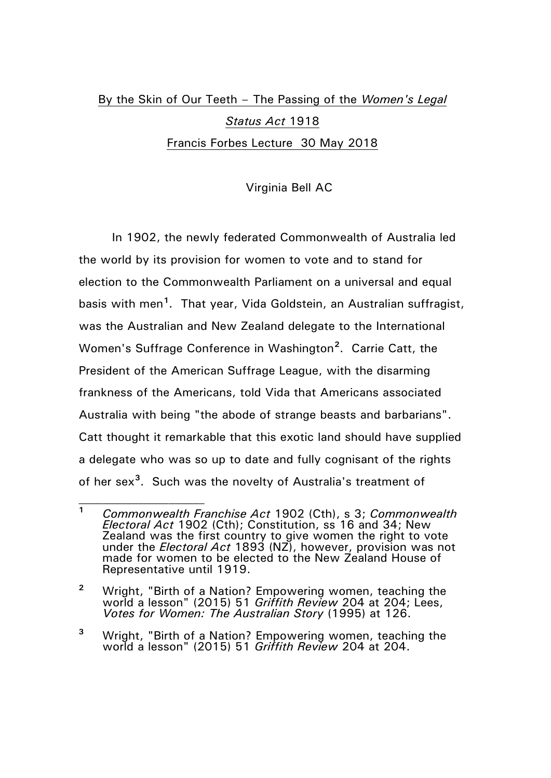## By the Skin of Our Teeth – The Passing of the *Women's Legal Status Act* 1918 Francis Forbes Lecture 30 May 2018

## Virginia Bell AC

In 1902, the newly federated Commonwealth of Australia led the world by its provision for women to vote and to stand for election to the Commonwealth Parliament on a universal and equal basis with men**[1](#page-0-0)** . That year, Vida Goldstein, an Australian suffragist, was the Australian and New Zealand delegate to the International Women's Suffrage Conference in Washington**[2](#page-0-1)** . Carrie Catt, the President of the American Suffrage League, with the disarming frankness of the Americans, told Vida that Americans associated Australia with being "the abode of strange beasts and barbarians". Catt thought it remarkable that this exotic land should have supplied a delegate who was so up to date and fully cognisant of the rights of her sex**[3](#page-0-2)** . Such was the novelty of Australia's treatment of

<span id="page-0-0"></span>**<sup>1</sup>** *Commonwealth Franchise Act* 1902 (Cth), s 3; *Commonwealth Electoral Act* 1902 (Cth); Constitution, ss 16 and 34; New Zealand was the first country to give women the right to vote under the *Electoral Act* 1893 (NZ), however, provision was not made for women to be elected to the New Zealand House of Representative until 1919.

<span id="page-0-1"></span>**<sup>2</sup>** Wright, "Birth of a Nation? Empowering women, teaching the world a lesson" (2015) 51 *Griffith Review* 204 at 204; Lees, *Votes for Women: The Australian Story* (1995) at 126.

<span id="page-0-2"></span>**<sup>3</sup>** Wright, "Birth of a Nation? Empowering women, teaching the world a lesson" (2015) 51 *Griffith Review* 204 at 204.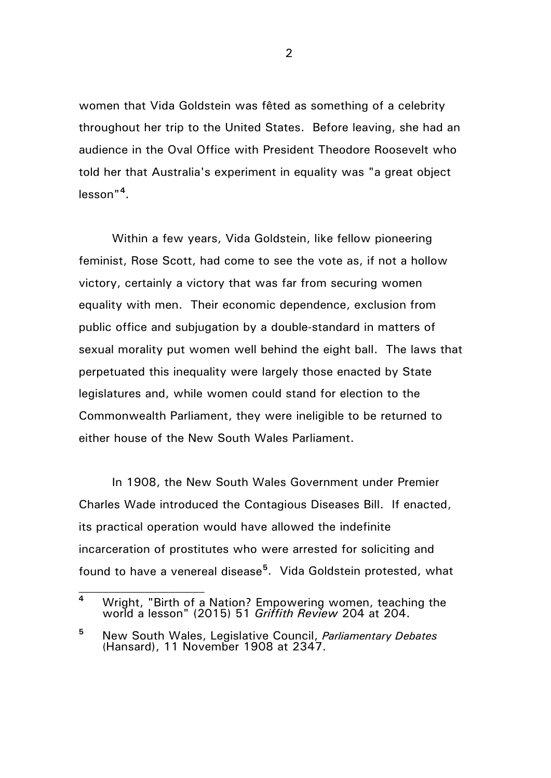women that Vida Goldstein was fêted as something of a celebrity throughout her trip to the United States. Before leaving, she had an audience in the Oval Office with President Theodore Roosevelt who told her that Australia's experiment in equality was "a great object lesson"**[4](#page-1-0)** .

Within a few years, Vida Goldstein, like fellow pioneering feminist, Rose Scott, had come to see the vote as, if not a hollow victory, certainly a victory that was far from securing women equality with men. Their economic dependence, exclusion from public office and subjugation by a double-standard in matters of sexual morality put women well behind the eight ball. The laws that perpetuated this inequality were largely those enacted by State legislatures and, while women could stand for election to the Commonwealth Parliament, they were ineligible to be returned to either house of the New South Wales Parliament.

In 1908, the New South Wales Government under Premier Charles Wade introduced the Contagious Diseases Bill. If enacted, its practical operation would have allowed the indefinite incarceration of prostitutes who were arrested for soliciting and found to have a venereal disease**[5](#page-1-1)** . Vida Goldstein protested, what

 $\mathcal{L}_\text{max}$ 

<span id="page-1-0"></span>**<sup>4</sup>** Wright, "Birth of a Nation? Empowering women, teaching the world a lesson" (2015) 51 *Griffith Review* 204 at 204.

<span id="page-1-1"></span>**<sup>5</sup>** New South Wales, Legislative Council, *Parliamentary Debates*  (Hansard), 11 November 1908 at 2347.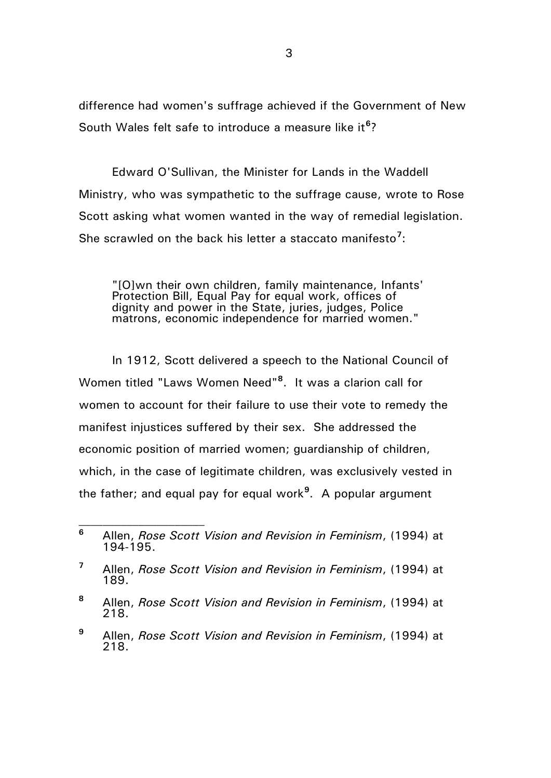difference had women's suffrage achieved if the Government of New South Wales felt safe to introduce a measure like it<sup>[6](#page-2-0)</sup>?

Edward O'Sullivan, the Minister for Lands in the Waddell Ministry, who was sympathetic to the suffrage cause, wrote to Rose Scott asking what women wanted in the way of remedial legislation. She scrawled on the back his letter a staccato manifesto**[7](#page-2-1)** :

"[O]wn their own children, family maintenance, Infants' Protection Bill, Equal Pay for equal work, offices of dignity and power in the State, juries, judges, Police matrons, economic independence for married women."

In 1912, Scott delivered a speech to the National Council of Women titled "Laws Women Need"**[8](#page-2-2)** . It was a clarion call for women to account for their failure to use their vote to remedy the manifest injustices suffered by their sex. She addressed the economic position of married women; guardianship of children, which, in the case of legitimate children, was exclusively vested in the father; and equal pay for equal work**[9](#page-2-3)** . A popular argument

<span id="page-2-0"></span>**<sup>6</sup>** Allen, *Rose Scott Vision and Revision in Feminism*, (1994) at 194-195.

<span id="page-2-1"></span>**<sup>7</sup>** Allen, *Rose Scott Vision and Revision in Feminism*, (1994) at 189.

<span id="page-2-2"></span>**<sup>8</sup>** Allen, *Rose Scott Vision and Revision in Feminism*, (1994) at 218.

<span id="page-2-3"></span>**<sup>9</sup>** Allen, *Rose Scott Vision and Revision in Feminism*, (1994) at 218.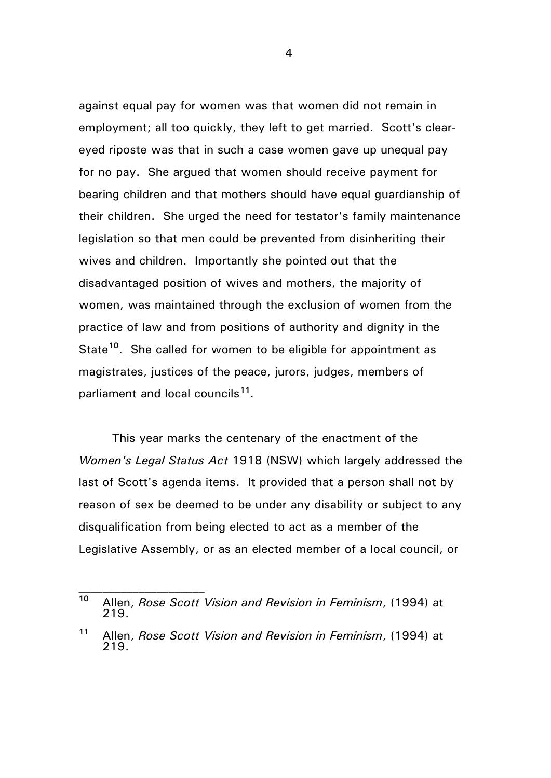against equal pay for women was that women did not remain in employment; all too quickly, they left to get married. Scott's cleareyed riposte was that in such a case women gave up unequal pay for no pay. She argued that women should receive payment for bearing children and that mothers should have equal guardianship of their children. She urged the need for testator's family maintenance legislation so that men could be prevented from disinheriting their wives and children. Importantly she pointed out that the disadvantaged position of wives and mothers, the majority of women, was maintained through the exclusion of women from the practice of law and from positions of authority and dignity in the State**[10](#page-3-0)**. She called for women to be eligible for appointment as magistrates, justices of the peace, jurors, judges, members of parliament and local councils**[11](#page-3-1)**.

This year marks the centenary of the enactment of the *Women's Legal Status Act* 1918 (NSW) which largely addressed the last of Scott's agenda items. It provided that a person shall not by reason of sex be deemed to be under any disability or subject to any disqualification from being elected to act as a member of the Legislative Assembly, or as an elected member of a local council, or

 $\mathcal{L}_\text{max}$ 

<span id="page-3-0"></span>**<sup>10</sup>** Allen, *Rose Scott Vision and Revision in Feminism*, (1994) at 219.

<span id="page-3-1"></span>**<sup>11</sup>** Allen, *Rose Scott Vision and Revision in Feminism*, (1994) at 219.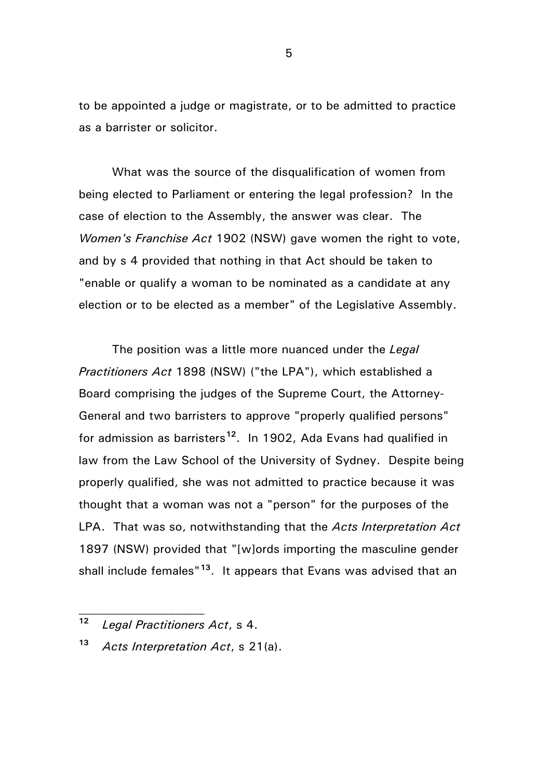to be appointed a judge or magistrate, or to be admitted to practice as a barrister or solicitor.

What was the source of the disqualification of women from being elected to Parliament or entering the legal profession? In the case of election to the Assembly, the answer was clear. The *Women's Franchise Act* 1902 (NSW) gave women the right to vote, and by s 4 provided that nothing in that Act should be taken to "enable or qualify a woman to be nominated as a candidate at any election or to be elected as a member" of the Legislative Assembly.

The position was a little more nuanced under the *Legal Practitioners Act* 1898 (NSW) ("the LPA"), which established a Board comprising the judges of the Supreme Court, the Attorney-General and two barristers to approve "properly qualified persons" for admission as barristers**[12](#page-4-0)**. In 1902, Ada Evans had qualified in law from the Law School of the University of Sydney. Despite being properly qualified, she was not admitted to practice because it was thought that a woman was not a "person" for the purposes of the LPA. That was so, notwithstanding that the *Acts Interpretation Act* 1897 (NSW) provided that "[w]ords importing the masculine gender shall include females"**[13](#page-4-1)**. It appears that Evans was advised that an

 $\mathcal{L}_\text{max}$ 

<span id="page-4-0"></span>**<sup>12</sup>** *Legal Practitioners Act*, s 4.

<span id="page-4-1"></span>**<sup>13</sup>** *Acts Interpretation Act*, s 21(a).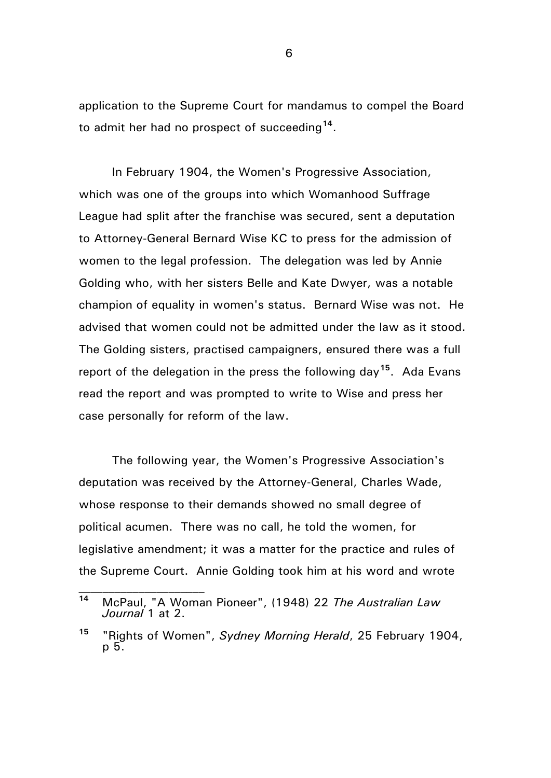application to the Supreme Court for mandamus to compel the Board to admit her had no prospect of succeeding**[14](#page-5-0)**.

In February 1904, the Women's Progressive Association, which was one of the groups into which Womanhood Suffrage League had split after the franchise was secured, sent a deputation to Attorney-General Bernard Wise KC to press for the admission of women to the legal profession. The delegation was led by Annie Golding who, with her sisters Belle and Kate Dwyer, was a notable champion of equality in women's status. Bernard Wise was not. He advised that women could not be admitted under the law as it stood. The Golding sisters, practised campaigners, ensured there was a full report of the delegation in the press the following day**[15](#page-5-1)**. Ada Evans read the report and was prompted to write to Wise and press her case personally for reform of the law.

The following year, the Women's Progressive Association's deputation was received by the Attorney-General, Charles Wade, whose response to their demands showed no small degree of political acumen. There was no call, he told the women, for legislative amendment; it was a matter for the practice and rules of the Supreme Court. Annie Golding took him at his word and wrote

 $\mathcal{L}_\text{max}$ 

<span id="page-5-0"></span>**<sup>14</sup>** McPaul, "A Woman Pioneer", (1948) 22 *The Australian Law Journal* 1 at 2.

<span id="page-5-1"></span>**<sup>15</sup>** "Rights of Women", *Sydney Morning Herald*, 25 February 1904, p 5.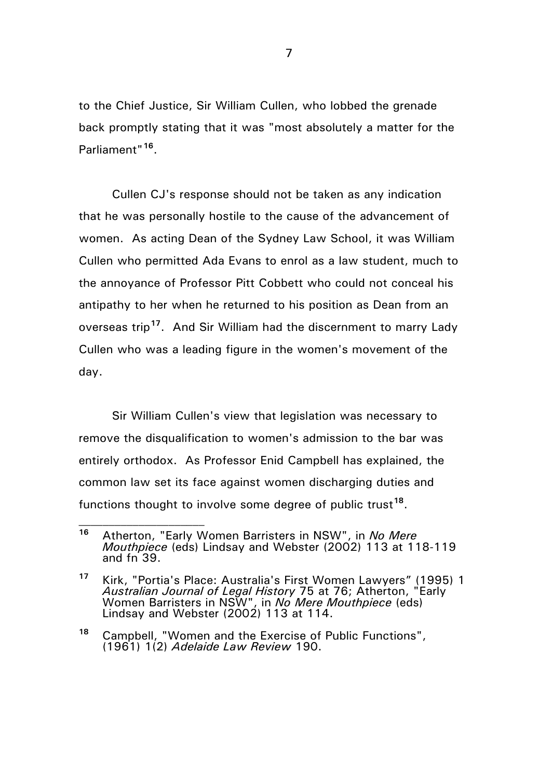to the Chief Justice, Sir William Cullen, who lobbed the grenade back promptly stating that it was "most absolutely a matter for the Parliament"**[16](#page-6-0)**.

Cullen CJ's response should not be taken as any indication that he was personally hostile to the cause of the advancement of women. As acting Dean of the Sydney Law School, it was William Cullen who permitted Ada Evans to enrol as a law student, much to the annoyance of Professor Pitt Cobbett who could not conceal his antipathy to her when he returned to his position as Dean from an overseas trip**[17](#page-6-1)**. And Sir William had the discernment to marry Lady Cullen who was a leading figure in the women's movement of the day.

Sir William Cullen's view that legislation was necessary to remove the disqualification to women's admission to the bar was entirely orthodox. As Professor Enid Campbell has explained, the common law set its face against women discharging duties and functions thought to involve some degree of public trust**[18](#page-6-2)**.

<span id="page-6-0"></span>**<sup>16</sup>** Atherton, "Early Women Barristers in NSW", in *No Mere Mouthpiece* (eds) Lindsay and Webster (2002) 113 at 118-119 and fn 39.

<span id="page-6-1"></span>**<sup>17</sup>** Kirk, "Portia's Place: Australia's First Women Lawyers" (1995) 1 *Australian Journal of Legal History* 75 at 76; Atherton, "Early Women Barristers in NSW", in *No Mere Mouthpiece* (eds) Lindsay and Webster (2002) 113 at 114.

<span id="page-6-2"></span>**<sup>18</sup>** Campbell, "Women and the Exercise of Public Functions", (1961) 1(2) *Adelaide Law Review* 190.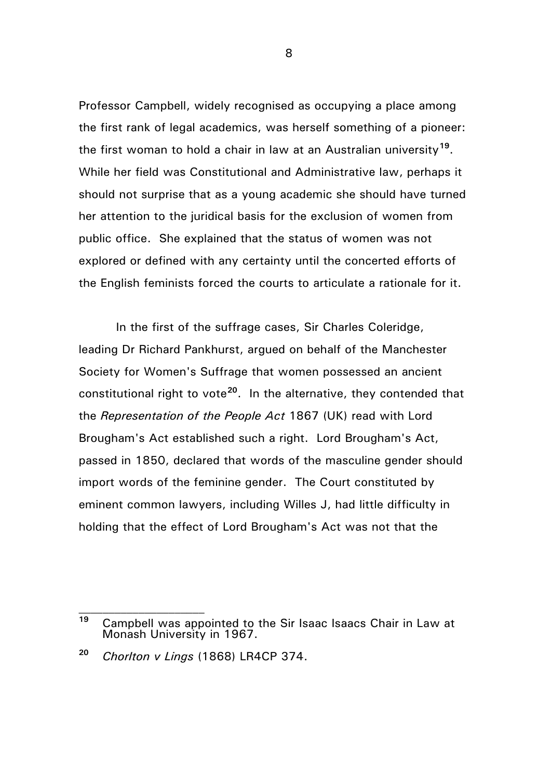Professor Campbell, widely recognised as occupying a place among the first rank of legal academics, was herself something of a pioneer: the first woman to hold a chair in law at an Australian university**[19](#page-7-0)**. While her field was Constitutional and Administrative law, perhaps it should not surprise that as a young academic she should have turned her attention to the juridical basis for the exclusion of women from public office. She explained that the status of women was not explored or defined with any certainty until the concerted efforts of the English feminists forced the courts to articulate a rationale for it.

In the first of the suffrage cases, Sir Charles Coleridge, leading Dr Richard Pankhurst, argued on behalf of the Manchester Society for Women's Suffrage that women possessed an ancient constitutional right to vote**[20](#page-7-1)**. In the alternative, they contended that the *Representation of the People Act* 1867 (UK) read with Lord Brougham's Act established such a right. Lord Brougham's Act, passed in 1850, declared that words of the masculine gender should import words of the feminine gender. The Court constituted by eminent common lawyers, including Willes J, had little difficulty in holding that the effect of Lord Brougham's Act was not that the

 $\mathcal{L}_\text{max}$ 

<span id="page-7-0"></span>**<sup>19</sup>** Campbell was appointed to the Sir Isaac Isaacs Chair in Law at Monash University in 1967.

<span id="page-7-1"></span>**<sup>20</sup>** *Chorlton v Lings* (1868) LR4CP 374.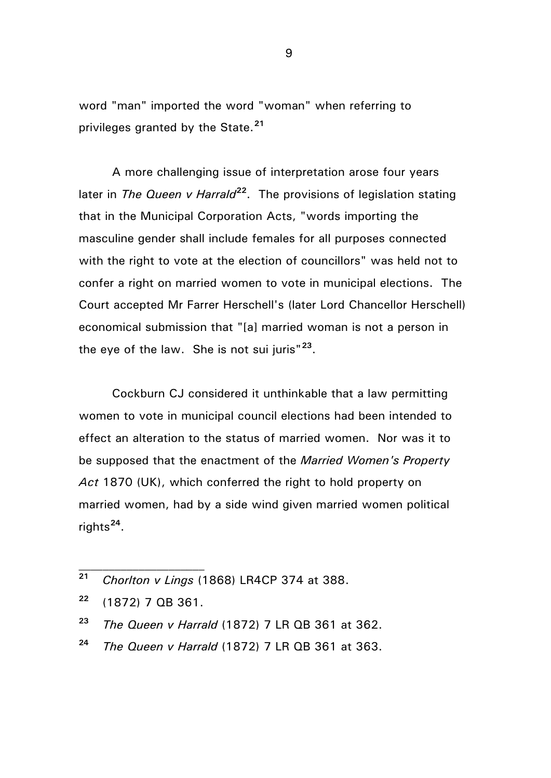word "man" imported the word "woman" when referring to privileges granted by the State.**[21](#page-8-0)**

A more challenging issue of interpretation arose four years later in *The Queen v Harrald***[22](#page-8-1)**. The provisions of legislation stating that in the Municipal Corporation Acts, "words importing the masculine gender shall include females for all purposes connected with the right to vote at the election of councillors" was held not to confer a right on married women to vote in municipal elections. The Court accepted Mr Farrer Herschell's (later Lord Chancellor Herschell) economical submission that "[a] married woman is not a person in the eye of the law. She is not sui juris"**[23](#page-8-2)**.

Cockburn CJ considered it unthinkable that a law permitting women to vote in municipal council elections had been intended to effect an alteration to the status of married women. Nor was it to be supposed that the enactment of the *Married Women's Property Act* 1870 (UK), which conferred the right to hold property on married women, had by a side wind given married women political rights**[24](#page-8-3)**.

- <span id="page-8-2"></span>**<sup>23</sup>** *The Queen v Harrald* (1872) 7 LR QB 361 at 362.
- <span id="page-8-3"></span>**<sup>24</sup>** *The Queen v Harrald* (1872) 7 LR QB 361 at 363.

<span id="page-8-0"></span>**<sup>21</sup>** *Chorlton v Lings* (1868) LR4CP 374 at 388.

<span id="page-8-1"></span>**<sup>22</sup>** (1872) 7 QB 361.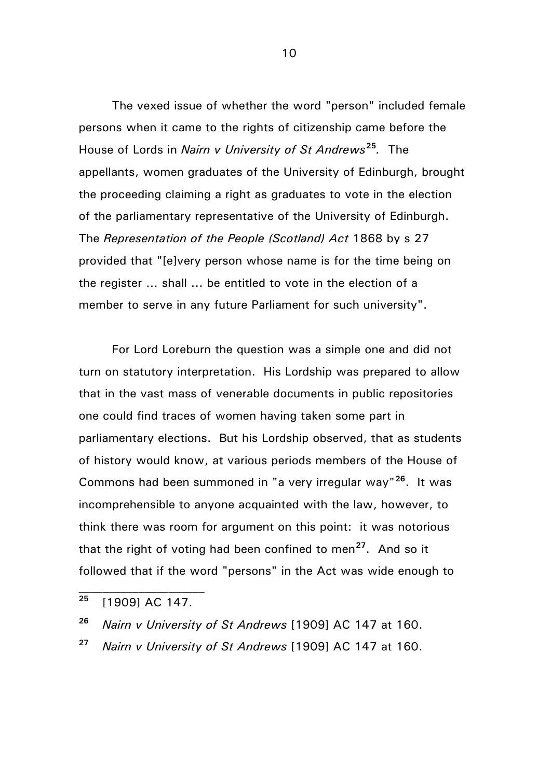The vexed issue of whether the word "person" included female persons when it came to the rights of citizenship came before the House of Lords in *Nairn v University of St Andrews***[25](#page-9-0)***.* The appellants, women graduates of the University of Edinburgh, brought the proceeding claiming a right as graduates to vote in the election of the parliamentary representative of the University of Edinburgh. The *Representation of the People (Scotland) Act* 1868 by s 27 provided that "[e]very person whose name is for the time being on the register … shall ... be entitled to vote in the election of a member to serve in any future Parliament for such university".

For Lord Loreburn the question was a simple one and did not turn on statutory interpretation. His Lordship was prepared to allow that in the vast mass of venerable documents in public repositories one could find traces of women having taken some part in parliamentary elections. But his Lordship observed, that as students of history would know, at various periods members of the House of Commons had been summoned in "a very irregular way"**[26](#page-9-1)**. It was incomprehensible to anyone acquainted with the law, however, to think there was room for argument on this point: it was notorious that the right of voting had been confined to men**[27](#page-9-2)**. And so it followed that if the word "persons" in the Act was wide enough to

 $\mathcal{L}_\text{max}$ 

<span id="page-9-0"></span>**<sup>25</sup>** [1909] AC 147.

<span id="page-9-1"></span>**<sup>26</sup>** *Nairn v University of St Andrews* [1909] AC 147 at 160.

<span id="page-9-2"></span>**<sup>27</sup>** *Nairn v University of St Andrews* [1909] AC 147 at 160.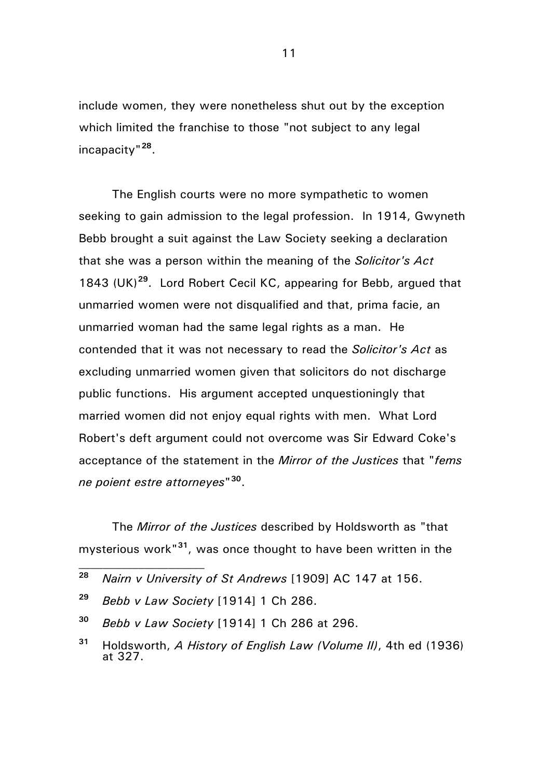include women, they were nonetheless shut out by the exception which limited the franchise to those "not subject to any legal incapacity"**[28](#page-10-0)**.

The English courts were no more sympathetic to women seeking to gain admission to the legal profession. In 1914, Gwyneth Bebb brought a suit against the Law Society seeking a declaration that she was a person within the meaning of the *Solicitor's Act*  1843 (UK)**[29](#page-10-1)**. Lord Robert Cecil KC, appearing for Bebb, argued that unmarried women were not disqualified and that, prima facie, an unmarried woman had the same legal rights as a man. He contended that it was not necessary to read the *Solicitor's Act* as excluding unmarried women given that solicitors do not discharge public functions. His argument accepted unquestioningly that married women did not enjoy equal rights with men. What Lord Robert's deft argument could not overcome was Sir Edward Coke's acceptance of the statement in the *Mirror of the Justices* that "*fems ne poient estre attorneyes*"**[30](#page-10-2)**.

The *Mirror of the Justices* described by Holdsworth as "that mysterious work"**[31](#page-10-3)**, was once thought to have been written in the  $\mathcal{L}_\text{max}$ 

<span id="page-10-0"></span>**<sup>28</sup>** *Nairn v University of St Andrews* [1909] AC 147 at 156.

<span id="page-10-1"></span>**<sup>29</sup>** *Bebb v Law Society* [1914] 1 Ch 286.

<span id="page-10-2"></span>**<sup>30</sup>** *Bebb v Law Society* [1914] 1 Ch 286 at 296.

<span id="page-10-3"></span>**<sup>31</sup>** Holdsworth, *A History of English Law (Volume II)*, 4th ed (1936) at 327.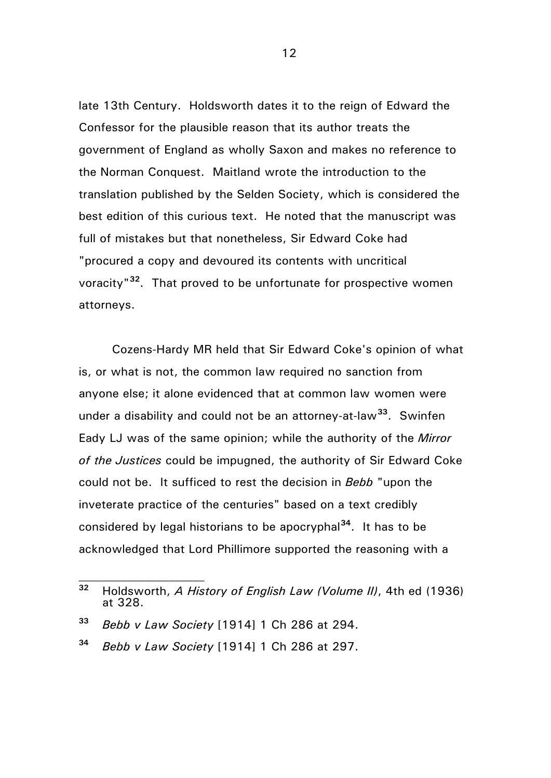late 13th Century. Holdsworth dates it to the reign of Edward the Confessor for the plausible reason that its author treats the government of England as wholly Saxon and makes no reference to the Norman Conquest. Maitland wrote the introduction to the translation published by the Selden Society, which is considered the best edition of this curious text. He noted that the manuscript was full of mistakes but that nonetheless, Sir Edward Coke had "procured a copy and devoured its contents with uncritical voracity"**[32](#page-11-0)**. That proved to be unfortunate for prospective women attorneys.

Cozens-Hardy MR held that Sir Edward Coke's opinion of what is, or what is not, the common law required no sanction from anyone else; it alone evidenced that at common law women were under a disability and could not be an attorney-at-law**[33](#page-11-1)**. Swinfen Eady LJ was of the same opinion; while the authority of the *Mirror of the Justices* could be impugned, the authority of Sir Edward Coke could not be. It sufficed to rest the decision in *Bebb* "upon the inveterate practice of the centuries" based on a text credibly considered by legal historians to be apocryphal**[34](#page-11-2)**. It has to be acknowledged that Lord Phillimore supported the reasoning with a

<span id="page-11-0"></span>**<sup>32</sup>** Holdsworth, *A History of English Law (Volume II)*, 4th ed (1936) at 328.

<span id="page-11-1"></span>**<sup>33</sup>** *Bebb v Law Society* [1914] 1 Ch 286 at 294.

<span id="page-11-2"></span>**<sup>34</sup>** *Bebb v Law Society* [1914] 1 Ch 286 at 297.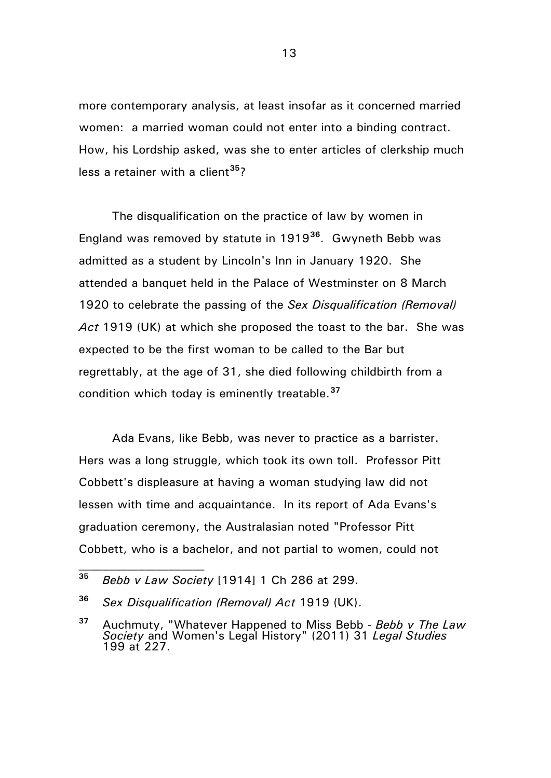more contemporary analysis, at least insofar as it concerned married women: a married woman could not enter into a binding contract. How, his Lordship asked, was she to enter articles of clerkship much less a retainer with a client**[35](#page-12-0)**?

The disqualification on the practice of law by women in England was removed by statute in 1919**[36](#page-12-1)**. Gwyneth Bebb was admitted as a student by Lincoln's Inn in January 1920. She attended a banquet held in the Palace of Westminster on 8 March 1920 to celebrate the passing of the *Sex Disqualification (Removal) Act* 1919 (UK) at which she proposed the toast to the bar. She was expected to be the first woman to be called to the Bar but regrettably, at the age of 31, she died following childbirth from a condition which today is eminently treatable.**[37](#page-12-2)**

Ada Evans, like Bebb, was never to practice as a barrister. Hers was a long struggle, which took its own toll. Professor Pitt Cobbett's displeasure at having a woman studying law did not lessen with time and acquaintance. In its report of Ada Evans's graduation ceremony, the Australasian noted "Professor Pitt Cobbett, who is a bachelor, and not partial to women, could not

<span id="page-12-0"></span>**<sup>35</sup>** *Bebb v Law Society* [1914] 1 Ch 286 at 299.

<span id="page-12-1"></span>**<sup>36</sup>** *Sex Disqualification (Removal) Act* 1919 (UK).

<span id="page-12-2"></span>**<sup>37</sup>** Auchmuty, "Whatever Happened to Miss Bebb - *Bebb v The Law Society* and Women's Legal History" (2011) 31 *Legal Studies*  199 at 227.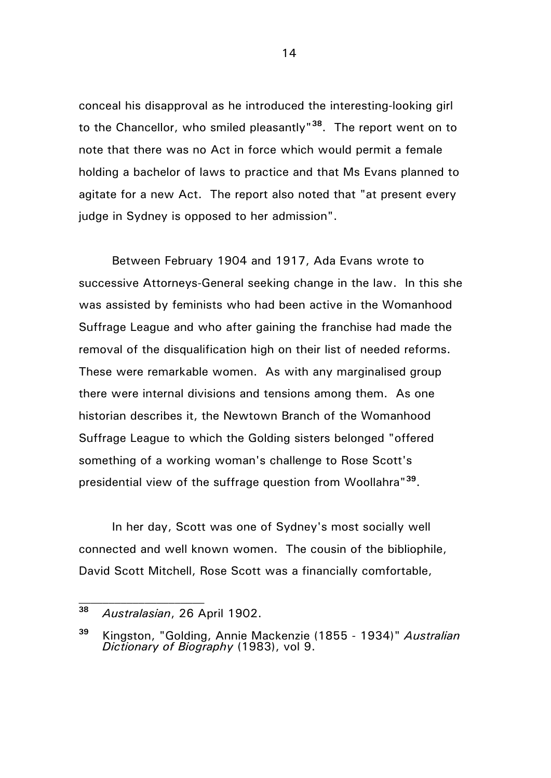conceal his disapproval as he introduced the interesting-looking girl to the Chancellor, who smiled pleasantly"**[38](#page-13-0)**. The report went on to note that there was no Act in force which would permit a female holding a bachelor of laws to practice and that Ms Evans planned to agitate for a new Act. The report also noted that "at present every judge in Sydney is opposed to her admission".

Between February 1904 and 1917, Ada Evans wrote to successive Attorneys-General seeking change in the law. In this she was assisted by feminists who had been active in the Womanhood Suffrage League and who after gaining the franchise had made the removal of the disqualification high on their list of needed reforms. These were remarkable women. As with any marginalised group there were internal divisions and tensions among them. As one historian describes it, the Newtown Branch of the Womanhood Suffrage League to which the Golding sisters belonged "offered something of a working woman's challenge to Rose Scott's presidential view of the suffrage question from Woollahra"**[39](#page-13-1)**.

In her day, Scott was one of Sydney's most socially well connected and well known women. The cousin of the bibliophile, David Scott Mitchell, Rose Scott was a financially comfortable,

 $\mathcal{L}_\text{max}$ 

<span id="page-13-0"></span>**<sup>38</sup>** *Australasian*, 26 April 1902.

<span id="page-13-1"></span>**<sup>39</sup>** Kingston, "Golding, Annie Mackenzie (1855 - 1934)" *Australian Dictionary of Biography* (1983), vol 9.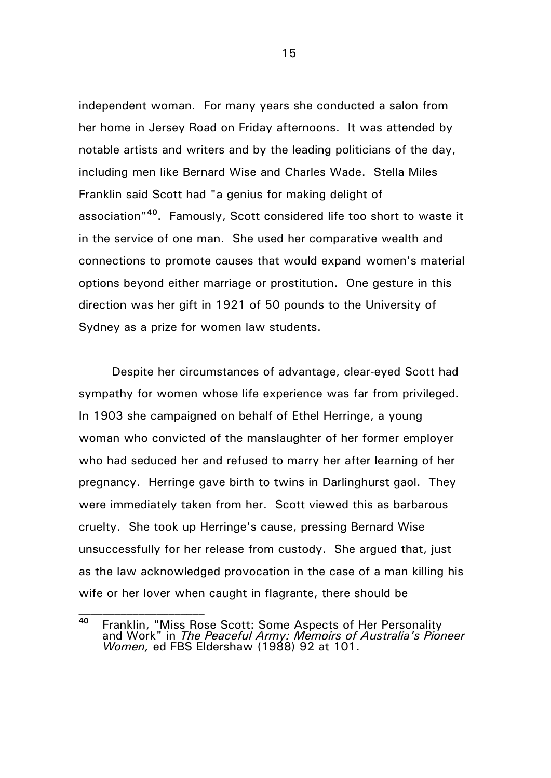independent woman. For many years she conducted a salon from her home in Jersey Road on Friday afternoons. It was attended by notable artists and writers and by the leading politicians of the day, including men like Bernard Wise and Charles Wade. Stella Miles Franklin said Scott had "a genius for making delight of association"**[40](#page-14-0)**. Famously, Scott considered life too short to waste it in the service of one man. She used her comparative wealth and connections to promote causes that would expand women's material options beyond either marriage or prostitution. One gesture in this direction was her gift in 1921 of 50 pounds to the University of Sydney as a prize for women law students.

Despite her circumstances of advantage, clear-eyed Scott had sympathy for women whose life experience was far from privileged. In 1903 she campaigned on behalf of Ethel Herringe, a young woman who convicted of the manslaughter of her former employer who had seduced her and refused to marry her after learning of her pregnancy. Herringe gave birth to twins in Darlinghurst gaol. They were immediately taken from her. Scott viewed this as barbarous cruelty. She took up Herringe's cause, pressing Bernard Wise unsuccessfully for her release from custody. She argued that, just as the law acknowledged provocation in the case of a man killing his wife or her lover when caught in flagrante, there should be

 $\mathcal{L}_\text{max}$ 

<span id="page-14-0"></span>**<sup>40</sup>** Franklin, "Miss Rose Scott: Some Aspects of Her Personality and Work" in *The Peaceful Army: Memoirs of Australia's Pioneer Women,* ed FBS Eldershaw (1988) 92 at 101.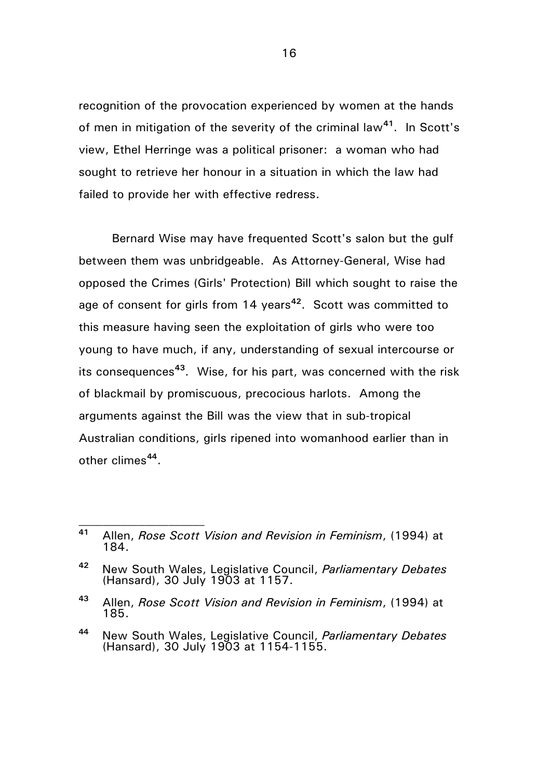recognition of the provocation experienced by women at the hands of men in mitigation of the severity of the criminal law**[41](#page-15-0)**. In Scott's view, Ethel Herringe was a political prisoner: a woman who had sought to retrieve her honour in a situation in which the law had failed to provide her with effective redress.

Bernard Wise may have frequented Scott's salon but the gulf between them was unbridgeable. As Attorney-General, Wise had opposed the Crimes (Girls' Protection) Bill which sought to raise the age of consent for girls from 14 years**[42](#page-15-1)**. Scott was committed to this measure having seen the exploitation of girls who were too young to have much, if any, understanding of sexual intercourse or its consequences**[43](#page-15-2)**. Wise, for his part, was concerned with the risk of blackmail by promiscuous, precocious harlots. Among the arguments against the Bill was the view that in sub-tropical Australian conditions, girls ripened into womanhood earlier than in other climes**[44](#page-15-3)**.

<span id="page-15-0"></span>**<sup>41</sup>** Allen, *Rose Scott Vision and Revision in Feminism*, (1994) at 184.

<span id="page-15-1"></span>**<sup>42</sup>** New South Wales, Legislative Council, *Parliamentary Debates*  (Hansard), 30 July 1903 at 1157.

<span id="page-15-2"></span>**<sup>43</sup>** Allen, *Rose Scott Vision and Revision in Feminism*, (1994) at 185.

<span id="page-15-3"></span>**<sup>44</sup>** New South Wales, Legislative Council, *Parliamentary Debates*  (Hansard), 30 July 1903 at 1154-1155.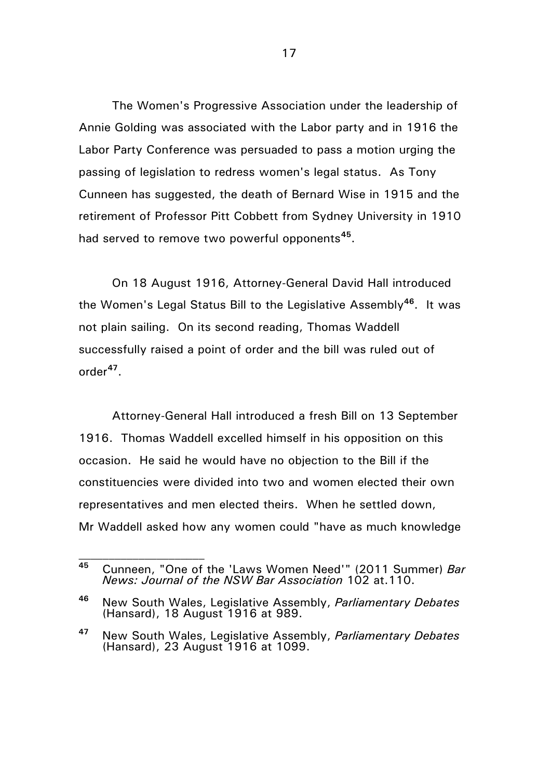The Women's Progressive Association under the leadership of Annie Golding was associated with the Labor party and in 1916 the Labor Party Conference was persuaded to pass a motion urging the passing of legislation to redress women's legal status. As Tony Cunneen has suggested, the death of Bernard Wise in 1915 and the retirement of Professor Pitt Cobbett from Sydney University in 1910 had served to remove two powerful opponents**[45](#page-16-0)**.

On 18 August 1916, Attorney-General David Hall introduced the Women's Legal Status Bill to the Legislative Assembly**[46](#page-16-1)**. It was not plain sailing. On its second reading, Thomas Waddell successfully raised a point of order and the bill was ruled out of order**[47](#page-16-2)**.

Attorney-General Hall introduced a fresh Bill on 13 September 1916. Thomas Waddell excelled himself in his opposition on this occasion. He said he would have no objection to the Bill if the constituencies were divided into two and women elected their own representatives and men elected theirs. When he settled down, Mr Waddell asked how any women could "have as much knowledge

<span id="page-16-0"></span>**<sup>45</sup>** Cunneen, "One of the 'Laws Women Need'" (2011 Summer) *Bar News: Journal of the NSW Bar Association* 102 at.110.

<span id="page-16-1"></span>**<sup>46</sup>** New South Wales, Legislative Assembly, *Parliamentary Debates*  (Hansard), 18 August 1916 at 989.

<span id="page-16-2"></span>**<sup>47</sup>** New South Wales, Legislative Assembly, *Parliamentary Debates*  (Hansard), 23 August 1916 at 1099.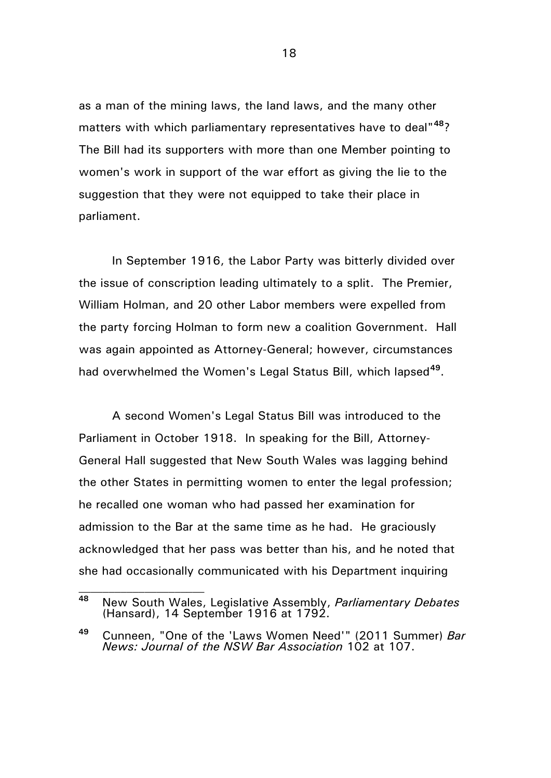as a man of the mining laws, the land laws, and the many other matters with which parliamentary representatives have to deal"**[48](#page-17-0)**? The Bill had its supporters with more than one Member pointing to women's work in support of the war effort as giving the lie to the suggestion that they were not equipped to take their place in parliament.

In September 1916, the Labor Party was bitterly divided over the issue of conscription leading ultimately to a split. The Premier, William Holman, and 20 other Labor members were expelled from the party forcing Holman to form new a coalition Government. Hall was again appointed as Attorney-General; however, circumstances had overwhelmed the Women's Legal Status Bill, which lapsed**[49](#page-17-1)**.

A second Women's Legal Status Bill was introduced to the Parliament in October 1918. In speaking for the Bill, Attorney-General Hall suggested that New South Wales was lagging behind the other States in permitting women to enter the legal profession; he recalled one woman who had passed her examination for admission to the Bar at the same time as he had. He graciously acknowledged that her pass was better than his, and he noted that she had occasionally communicated with his Department inquiring

<span id="page-17-0"></span>**<sup>48</sup>** New South Wales, Legislative Assembly, *Parliamentary Debates*  (Hansard), 14 September 1916 at 1792.

<span id="page-17-1"></span>**<sup>49</sup>** Cunneen, "One of the 'Laws Women Need'" (2011 Summer) *Bar News: Journal of the NSW Bar Association* 102 at 107.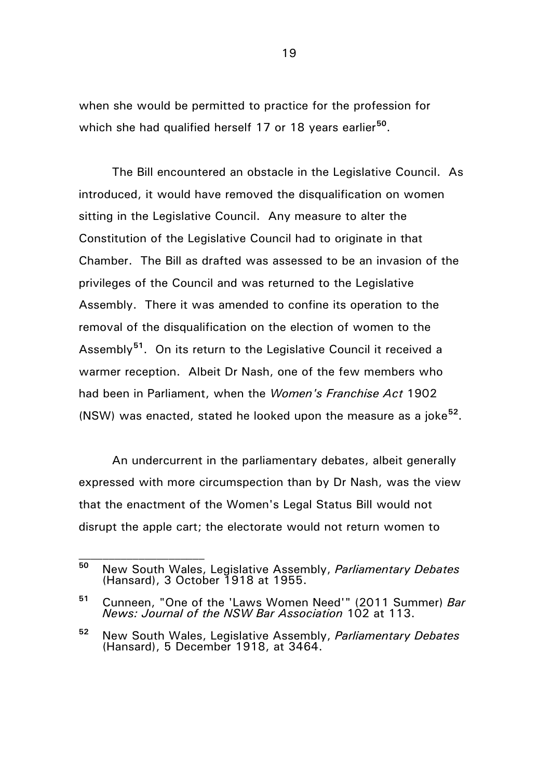when she would be permitted to practice for the profession for which she had qualified herself 17 or 18 years earlier**[50](#page-18-0)**.

The Bill encountered an obstacle in the Legislative Council. As introduced, it would have removed the disqualification on women sitting in the Legislative Council. Any measure to alter the Constitution of the Legislative Council had to originate in that Chamber. The Bill as drafted was assessed to be an invasion of the privileges of the Council and was returned to the Legislative Assembly. There it was amended to confine its operation to the removal of the disqualification on the election of women to the Assembly**[51](#page-18-1)**. On its return to the Legislative Council it received a warmer reception. Albeit Dr Nash, one of the few members who had been in Parliament, when the *Women's Franchise Act* 1902 (NSW) was enacted, stated he looked upon the measure as a joke**[52](#page-18-2)**.

An undercurrent in the parliamentary debates, albeit generally expressed with more circumspection than by Dr Nash, was the view that the enactment of the Women's Legal Status Bill would not disrupt the apple cart; the electorate would not return women to

<span id="page-18-0"></span>**<sup>50</sup>** New South Wales, Legislative Assembly, *Parliamentary Debates*  (Hansard), 3 October 1918 at 1955.

<span id="page-18-1"></span>**<sup>51</sup>** Cunneen, "One of the 'Laws Women Need'" (2011 Summer) *Bar News: Journal of the NSW Bar Association* 102 at 113.

<span id="page-18-2"></span>**<sup>52</sup>** New South Wales, Legislative Assembly, *Parliamentary Debates*  (Hansard), 5 December 1918, at 3464.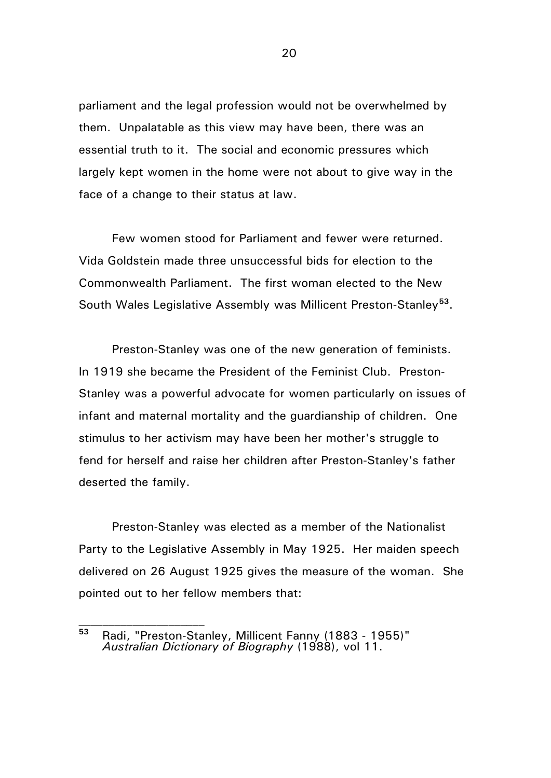parliament and the legal profession would not be overwhelmed by them. Unpalatable as this view may have been, there was an essential truth to it. The social and economic pressures which largely kept women in the home were not about to give way in the face of a change to their status at law.

Few women stood for Parliament and fewer were returned. Vida Goldstein made three unsuccessful bids for election to the Commonwealth Parliament. The first woman elected to the New South Wales Legislative Assembly was Millicent Preston-Stanley**[53](#page-19-0)**.

Preston-Stanley was one of the new generation of feminists. In 1919 she became the President of the Feminist Club. Preston-Stanley was a powerful advocate for women particularly on issues of infant and maternal mortality and the guardianship of children. One stimulus to her activism may have been her mother's struggle to fend for herself and raise her children after Preston-Stanley's father deserted the family.

Preston-Stanley was elected as a member of the Nationalist Party to the Legislative Assembly in May 1925. Her maiden speech delivered on 26 August 1925 gives the measure of the woman. She pointed out to her fellow members that:

<span id="page-19-0"></span>**<sup>53</sup>** Radi, "Preston-Stanley, Millicent Fanny (1883 - 1955)" *Australian Dictionary of Biography* (1988), vol 11.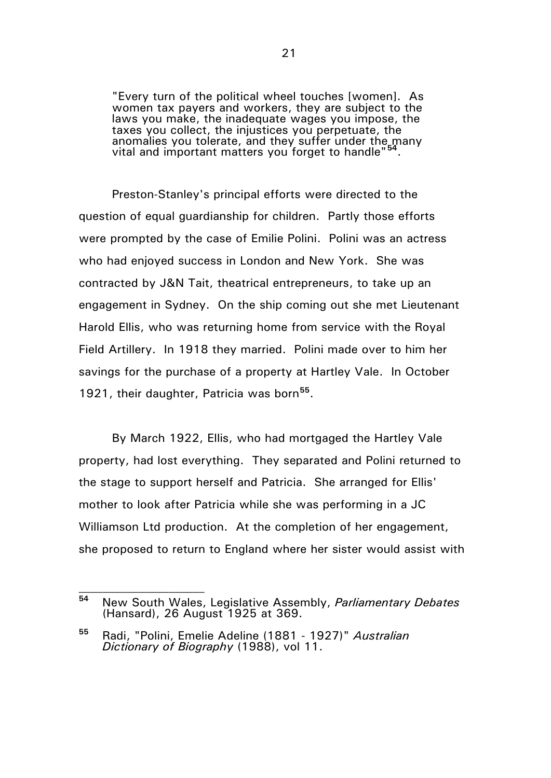"Every turn of the political wheel touches [women]. As women tax payers and workers, they are subject to the laws you make, the inadequate wages you impose, the taxes you collect, the injustices you perpetuate, the anomalies you tolerate, and they suffer under the many vital and important matters you forget to handle"**[54](#page-20-0)**.

Preston-Stanley's principal efforts were directed to the question of equal guardianship for children. Partly those efforts were prompted by the case of Emilie Polini. Polini was an actress who had enjoyed success in London and New York. She was contracted by J&N Tait, theatrical entrepreneurs, to take up an engagement in Sydney. On the ship coming out she met Lieutenant Harold Ellis, who was returning home from service with the Royal Field Artillery. In 1918 they married. Polini made over to him her savings for the purchase of a property at Hartley Vale. In October 1921, their daughter, Patricia was born**[55](#page-20-1)**.

By March 1922, Ellis, who had mortgaged the Hartley Vale property, had lost everything. They separated and Polini returned to the stage to support herself and Patricia. She arranged for Ellis' mother to look after Patricia while she was performing in a JC Williamson Ltd production. At the completion of her engagement, she proposed to return to England where her sister would assist with

<span id="page-20-0"></span>**<sup>54</sup>** New South Wales, Legislative Assembly, *Parliamentary Debates*  (Hansard), 26 August 1925 at 369.

<span id="page-20-1"></span>**<sup>55</sup>** Radi, "Polini, Emelie Adeline (1881 - 1927)" *Australian Dictionary of Biography* (1988), vol 11.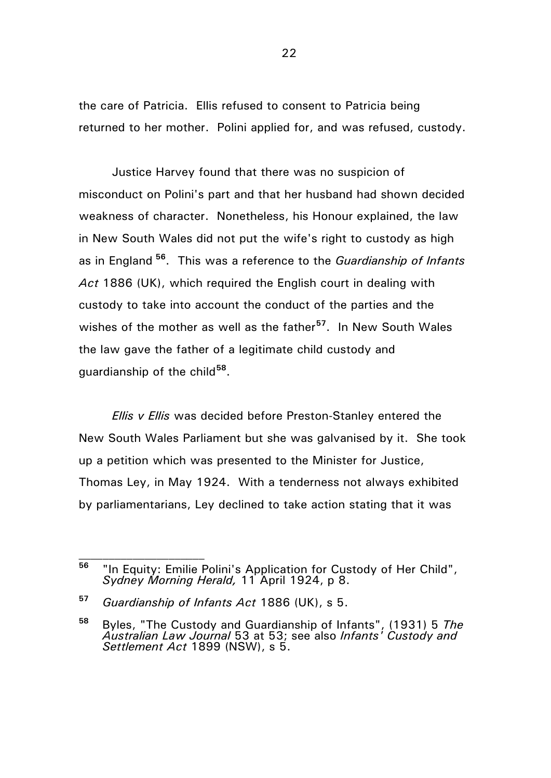the care of Patricia. Ellis refused to consent to Patricia being returned to her mother. Polini applied for, and was refused, custody.

Justice Harvey found that there was no suspicion of misconduct on Polini's part and that her husband had shown decided weakness of character. Nonetheless, his Honour explained, the law in New South Wales did not put the wife's right to custody as high as in England **[56](#page-21-0)**. This was a reference to the *Guardianship of Infants Act* 1886 (UK), which required the English court in dealing with custody to take into account the conduct of the parties and the wishes of the mother as well as the father**[57](#page-21-1)**. In New South Wales the law gave the father of a legitimate child custody and guardianship of the child**[58](#page-21-2)**.

*Ellis v Ellis* was decided before Preston-Stanley entered the New South Wales Parliament but she was galvanised by it. She took up a petition which was presented to the Minister for Justice, Thomas Ley, in May 1924. With a tenderness not always exhibited by parliamentarians, Ley declined to take action stating that it was

<span id="page-21-0"></span>**<sup>56</sup>** "In Equity: Emilie Polini's Application for Custody of Her Child", *Sydney Morning Herald,* 11 April 1924, p 8.

<span id="page-21-1"></span>**<sup>57</sup>** *Guardianship of Infants Act* 1886 (UK), s 5.

<span id="page-21-2"></span>**<sup>58</sup>** Byles, "The Custody and Guardianship of Infants", (1931) 5 *The Australian Law Journal* 53 at 53; see also *Infants' Custody and Settlement Act* 1899 (NSW), s 5.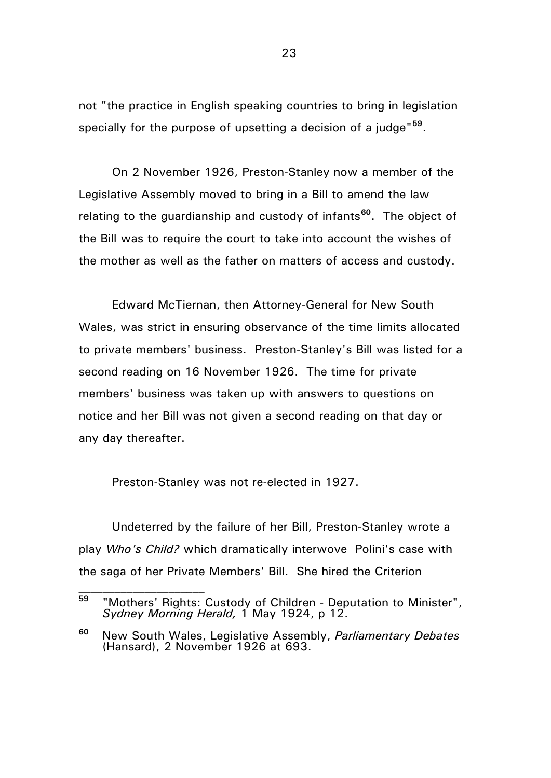not "the practice in English speaking countries to bring in legislation specially for the purpose of upsetting a decision of a judge"**[59](#page-22-0)**.

On 2 November 1926, Preston-Stanley now a member of the Legislative Assembly moved to bring in a Bill to amend the law relating to the guardianship and custody of infants**[60](#page-22-1)**. The object of the Bill was to require the court to take into account the wishes of the mother as well as the father on matters of access and custody.

Edward McTiernan, then Attorney-General for New South Wales, was strict in ensuring observance of the time limits allocated to private members' business. Preston-Stanley's Bill was listed for a second reading on 16 November 1926. The time for private members' business was taken up with answers to questions on notice and her Bill was not given a second reading on that day or any day thereafter.

Preston-Stanley was not re-elected in 1927.

 $\mathcal{L}_\text{max}$ 

Undeterred by the failure of her Bill, Preston-Stanley wrote a play *Who's Child?* which dramatically interwove Polini's case with the saga of her Private Members' Bill. She hired the Criterion

<span id="page-22-0"></span>**<sup>59</sup>** "Mothers' Rights: Custody of Children - Deputation to Minister", *Sydney Morning Herald,* 1 May 1924, p 12.

<span id="page-22-1"></span>**<sup>60</sup>** New South Wales, Legislative Assembly, *Parliamentary Debates*  (Hansard), 2 November 1926 at 693.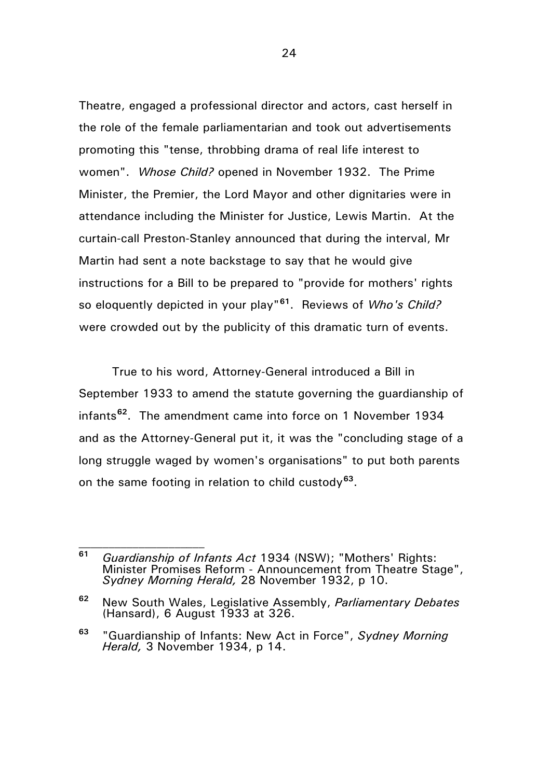Theatre, engaged a professional director and actors, cast herself in the role of the female parliamentarian and took out advertisements promoting this "tense, throbbing drama of real life interest to women". *Whose Child?* opened in November 1932. The Prime Minister, the Premier, the Lord Mayor and other dignitaries were in attendance including the Minister for Justice, Lewis Martin. At the curtain-call Preston-Stanley announced that during the interval, Mr Martin had sent a note backstage to say that he would give instructions for a Bill to be prepared to "provide for mothers' rights so eloquently depicted in your play"**[61](#page-23-0)**. Reviews of *Who's Child?* were crowded out by the publicity of this dramatic turn of events.

True to his word, Attorney-General introduced a Bill in September 1933 to amend the statute governing the guardianship of infants**[62](#page-23-1)**. The amendment came into force on 1 November 1934 and as the Attorney-General put it, it was the "concluding stage of a long struggle waged by women's organisations" to put both parents on the same footing in relation to child custody**[63](#page-23-2)**.

 $\mathcal{L}_\text{max}$ 

<span id="page-23-0"></span>**<sup>61</sup>** *Guardianship of Infants Act* 1934 (NSW); "Mothers' Rights: Minister Promises Reform - Announcement from Theatre Stage", *Sydney Morning Herald,* 28 November 1932, p 10.

<span id="page-23-1"></span>**<sup>62</sup>** New South Wales, Legislative Assembly, *Parliamentary Debates*  (Hansard), 6 August 1933 at 326.

<span id="page-23-2"></span>**<sup>63</sup>** "Guardianship of Infants: New Act in Force", *Sydney Morning Herald,* 3 November 1934, p 14.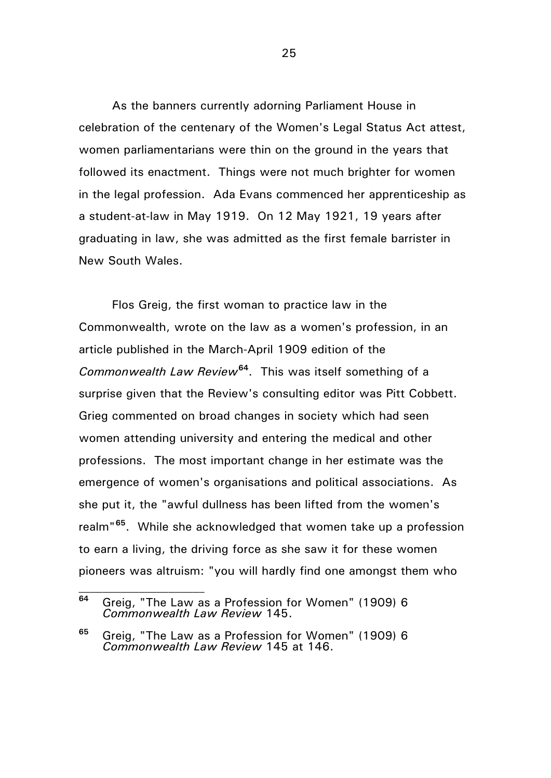As the banners currently adorning Parliament House in celebration of the centenary of the Women's Legal Status Act attest, women parliamentarians were thin on the ground in the years that followed its enactment. Things were not much brighter for women in the legal profession. Ada Evans commenced her apprenticeship as a student-at-law in May 1919. On 12 May 1921, 19 years after graduating in law, she was admitted as the first female barrister in New South Wales.

Flos Greig, the first woman to practice law in the Commonwealth, wrote on the law as a women's profession, in an article published in the March-April 1909 edition of the *Commonwealth Law Review***[64](#page-24-0)**. This was itself something of a surprise given that the Review's consulting editor was Pitt Cobbett. Grieg commented on broad changes in society which had seen women attending university and entering the medical and other professions. The most important change in her estimate was the emergence of women's organisations and political associations. As she put it, the "awful dullness has been lifted from the women's realm"**[65](#page-24-1)**. While she acknowledged that women take up a profession to earn a living, the driving force as she saw it for these women pioneers was altruism: "you will hardly find one amongst them who

 $\mathcal{L}_\text{max}$ 

<span id="page-24-0"></span>**<sup>64</sup>** Greig, "The Law as a Profession for Women" (1909) 6 *Commonwealth Law Review* 145.

<span id="page-24-1"></span>**<sup>65</sup>** Greig, "The Law as a Profession for Women" (1909) 6 *Commonwealth Law Review* 145 at 146.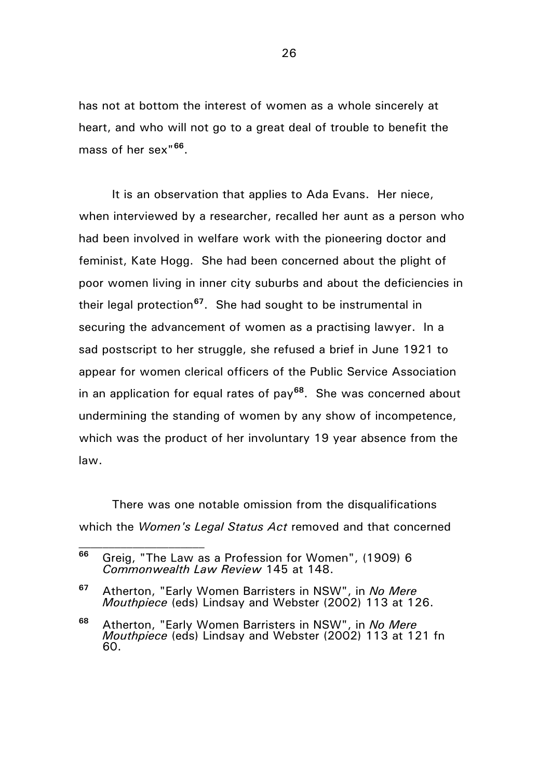has not at bottom the interest of women as a whole sincerely at heart, and who will not go to a great deal of trouble to benefit the mass of her sex"**[66](#page-25-0)**.

It is an observation that applies to Ada Evans. Her niece, when interviewed by a researcher, recalled her aunt as a person who had been involved in welfare work with the pioneering doctor and feminist, Kate Hogg. She had been concerned about the plight of poor women living in inner city suburbs and about the deficiencies in their legal protection**[67](#page-25-1)**. She had sought to be instrumental in securing the advancement of women as a practising lawyer. In a sad postscript to her struggle, she refused a brief in June 1921 to appear for women clerical officers of the Public Service Association in an application for equal rates of pay**[68](#page-25-2)**. She was concerned about undermining the standing of women by any show of incompetence, which was the product of her involuntary 19 year absence from the law.

There was one notable omission from the disqualifications which the *Women's Legal Status Act* removed and that concerned

<span id="page-25-0"></span>**<sup>66</sup>** Greig, "The Law as a Profession for Women", (1909) 6 *Commonwealth Law Review* 145 at 148.

<span id="page-25-1"></span>**<sup>67</sup>** Atherton, "Early Women Barristers in NSW", in *No Mere Mouthpiece* (eds) Lindsay and Webster (2002) 113 at 126.

<span id="page-25-2"></span>**<sup>68</sup>** Atherton, "Early Women Barristers in NSW", in *No Mere Mouthpiece* (eds) Lindsay and Webster (2002) 113 at 121 fn 60.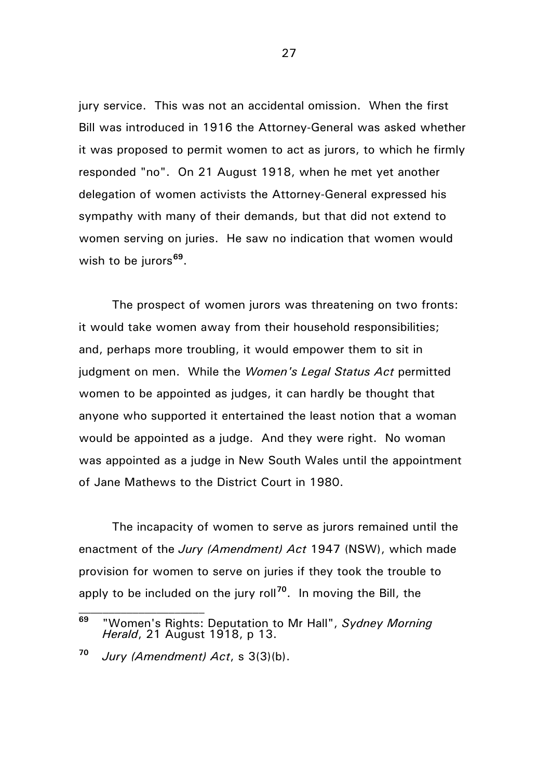jury service. This was not an accidental omission. When the first Bill was introduced in 1916 the Attorney-General was asked whether it was proposed to permit women to act as jurors, to which he firmly responded "no". On 21 August 1918, when he met yet another delegation of women activists the Attorney-General expressed his sympathy with many of their demands, but that did not extend to women serving on juries. He saw no indication that women would wish to be jurors**[69](#page-26-0)**.

The prospect of women jurors was threatening on two fronts: it would take women away from their household responsibilities; and, perhaps more troubling, it would empower them to sit in judgment on men. While the *Women's Legal Status Act* permitted women to be appointed as judges, it can hardly be thought that anyone who supported it entertained the least notion that a woman would be appointed as a judge. And they were right. No woman was appointed as a judge in New South Wales until the appointment of Jane Mathews to the District Court in 1980.

The incapacity of women to serve as jurors remained until the enactment of the *Jury (Amendment) Act* 1947 (NSW), which made provision for women to serve on juries if they took the trouble to apply to be included on the jury roll**[70](#page-26-1)**. In moving the Bill, the

 $\mathcal{L}_\text{max}$ 

<span id="page-26-0"></span>**<sup>69</sup>** "Women's Rights: Deputation to Mr Hall", *Sydney Morning Herald*, 21 August 1918, p 13.

<span id="page-26-1"></span>**<sup>70</sup>** *Jury (Amendment) Act*, s 3(3)(b).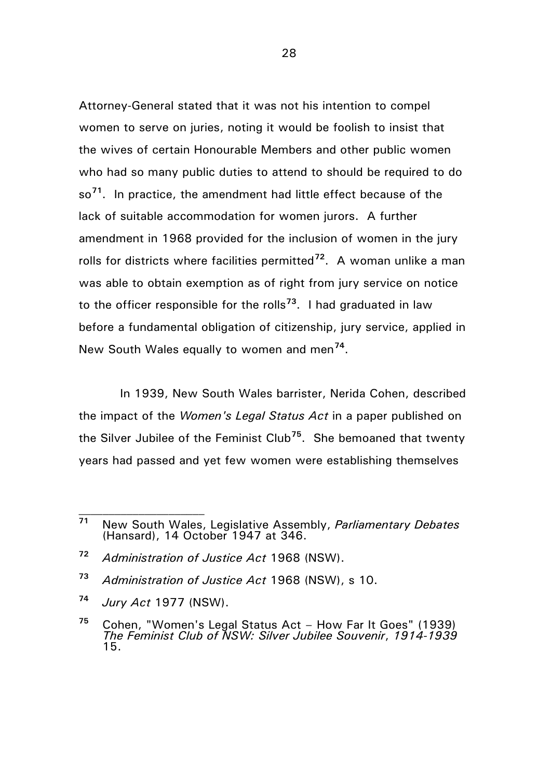Attorney-General stated that it was not his intention to compel women to serve on juries, noting it would be foolish to insist that the wives of certain Honourable Members and other public women who had so many public duties to attend to should be required to do so**[71](#page-27-0)**. In practice, the amendment had little effect because of the lack of suitable accommodation for women jurors. A further amendment in 1968 provided for the inclusion of women in the jury rolls for districts where facilities permitted**[72](#page-27-1)**. A woman unlike a man was able to obtain exemption as of right from jury service on notice to the officer responsible for the rolls**[73](#page-27-2)**. I had graduated in law before a fundamental obligation of citizenship, jury service, applied in New South Wales equally to women and men**[74](#page-27-3)**.

 In 1939, New South Wales barrister, Nerida Cohen, described the impact of the *Women's Legal Status Act* in a paper published on the Silver Jubilee of the Feminist Club**[75](#page-27-4)**. She bemoaned that twenty years had passed and yet few women were establishing themselves

- <span id="page-27-2"></span>**<sup>73</sup>** *Administration of Justice Act* 1968 (NSW), s 10.
- <span id="page-27-3"></span>**<sup>74</sup>** *Jury Act* 1977 (NSW).

<span id="page-27-0"></span>**<sup>71</sup>** New South Wales, Legislative Assembly, *Parliamentary Debates*  (Hansard), 14 October 1947 at 346.

<span id="page-27-1"></span>**<sup>72</sup>** *Administration of Justice Act* 1968 (NSW).

<span id="page-27-4"></span>**<sup>75</sup>** Cohen, "Women's Legal Status Act – How Far It Goes" (1939) *The Feminist Club of NSW: Silver Jubilee Souvenir*, *1914-1939* 15.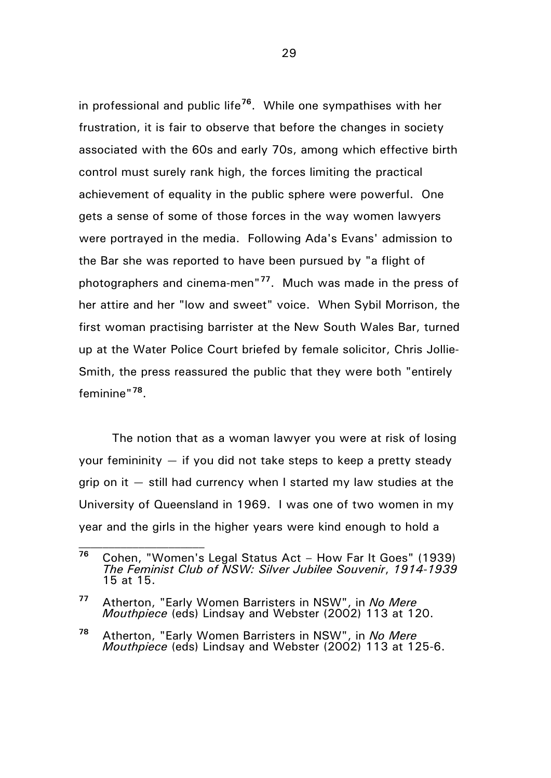in professional and public life**[76](#page-28-0)**. While one sympathises with her frustration, it is fair to observe that before the changes in society associated with the 60s and early 70s, among which effective birth control must surely rank high, the forces limiting the practical achievement of equality in the public sphere were powerful. One gets a sense of some of those forces in the way women lawyers were portrayed in the media. Following Ada's Evans' admission to the Bar she was reported to have been pursued by "a flight of photographers and cinema-men"**[77](#page-28-1)**. Much was made in the press of her attire and her "low and sweet" voice. When Sybil Morrison, the first woman practising barrister at the New South Wales Bar, turned up at the Water Police Court briefed by female solicitor, Chris Jollie-Smith, the press reassured the public that they were both "entirely feminine"**[78](#page-28-2)**.

The notion that as a woman lawyer you were at risk of losing your femininity  $-$  if you did not take steps to keep a pretty steady grip on it  $-$  still had currency when I started my law studies at the University of Queensland in 1969. I was one of two women in my year and the girls in the higher years were kind enough to hold a

<span id="page-28-0"></span>**<sup>76</sup>** Cohen, "Women's Legal Status Act – How Far It Goes" (1939) *The Feminist Club of NSW: Silver Jubilee Souvenir*, *1914-1939* 15 at 15.

<span id="page-28-1"></span>**<sup>77</sup>** Atherton, "Early Women Barristers in NSW", in *No Mere Mouthpiece* (eds) Lindsay and Webster (2002) 113 at 120.

<span id="page-28-2"></span>**<sup>78</sup>** Atherton, "Early Women Barristers in NSW", in *No Mere Mouthpiece* (eds) Lindsay and Webster (2002) 113 at 125-6.